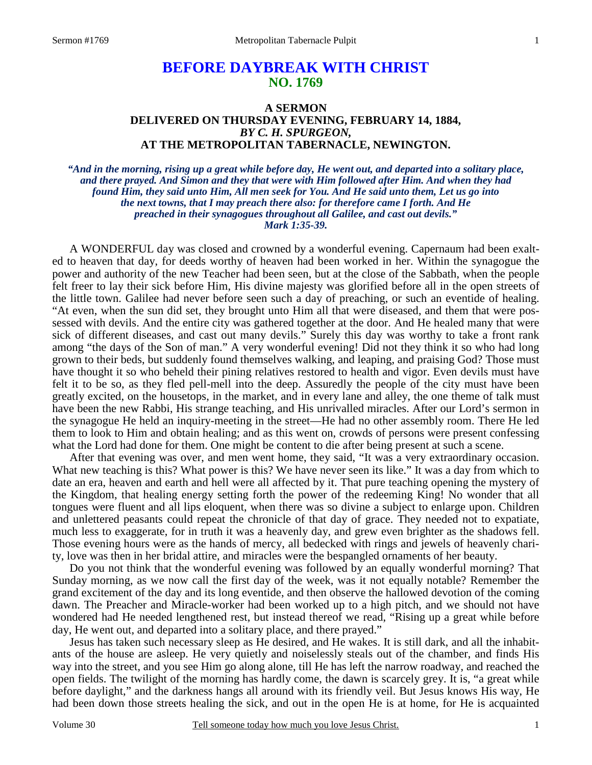# **BEFORE DAYBREAK WITH CHRIST NO. 1769**

## **A SERMON DELIVERED ON THURSDAY EVENING, FEBRUARY 14, 1884,**  *BY C. H. SPURGEON,*  **AT THE METROPOLITAN TABERNACLE, NEWINGTON.**

*"And in the morning, rising up a great while before day, He went out, and departed into a solitary place, and there prayed. And Simon and they that were with Him followed after Him. And when they had found Him, they said unto Him, All men seek for You. And He said unto them, Let us go into the next towns, that I may preach there also: for therefore came I forth. And He preached in their synagogues throughout all Galilee, and cast out devils." Mark 1:35-39.* 

A WONDERFUL day was closed and crowned by a wonderful evening. Capernaum had been exalted to heaven that day, for deeds worthy of heaven had been worked in her. Within the synagogue the power and authority of the new Teacher had been seen, but at the close of the Sabbath, when the people felt freer to lay their sick before Him, His divine majesty was glorified before all in the open streets of the little town. Galilee had never before seen such a day of preaching, or such an eventide of healing. "At even, when the sun did set, they brought unto Him all that were diseased, and them that were possessed with devils. And the entire city was gathered together at the door. And He healed many that were sick of different diseases, and cast out many devils." Surely this day was worthy to take a front rank among "the days of the Son of man." A very wonderful evening! Did not they think it so who had long grown to their beds, but suddenly found themselves walking, and leaping, and praising God? Those must have thought it so who beheld their pining relatives restored to health and vigor. Even devils must have felt it to be so, as they fled pell-mell into the deep. Assuredly the people of the city must have been greatly excited, on the housetops, in the market, and in every lane and alley, the one theme of talk must have been the new Rabbi, His strange teaching, and His unrivalled miracles. After our Lord's sermon in the synagogue He held an inquiry-meeting in the street—He had no other assembly room. There He led them to look to Him and obtain healing; and as this went on, crowds of persons were present confessing what the Lord had done for them. One might be content to die after being present at such a scene.

 After that evening was over, and men went home, they said, "It was a very extraordinary occasion. What new teaching is this? What power is this? We have never seen its like." It was a day from which to date an era, heaven and earth and hell were all affected by it. That pure teaching opening the mystery of the Kingdom, that healing energy setting forth the power of the redeeming King! No wonder that all tongues were fluent and all lips eloquent, when there was so divine a subject to enlarge upon. Children and unlettered peasants could repeat the chronicle of that day of grace. They needed not to expatiate, much less to exaggerate, for in truth it was a heavenly day, and grew even brighter as the shadows fell. Those evening hours were as the hands of mercy, all bedecked with rings and jewels of heavenly charity, love was then in her bridal attire, and miracles were the bespangled ornaments of her beauty.

 Do you not think that the wonderful evening was followed by an equally wonderful morning? That Sunday morning, as we now call the first day of the week, was it not equally notable? Remember the grand excitement of the day and its long eventide, and then observe the hallowed devotion of the coming dawn. The Preacher and Miracle-worker had been worked up to a high pitch, and we should not have wondered had He needed lengthened rest, but instead thereof we read, "Rising up a great while before day, He went out, and departed into a solitary place, and there prayed."

 Jesus has taken such necessary sleep as He desired, and He wakes. It is still dark, and all the inhabitants of the house are asleep. He very quietly and noiselessly steals out of the chamber, and finds His way into the street, and you see Him go along alone, till He has left the narrow roadway, and reached the open fields. The twilight of the morning has hardly come, the dawn is scarcely grey. It is, "a great while before daylight," and the darkness hangs all around with its friendly veil. But Jesus knows His way, He had been down those streets healing the sick, and out in the open He is at home, for He is acquainted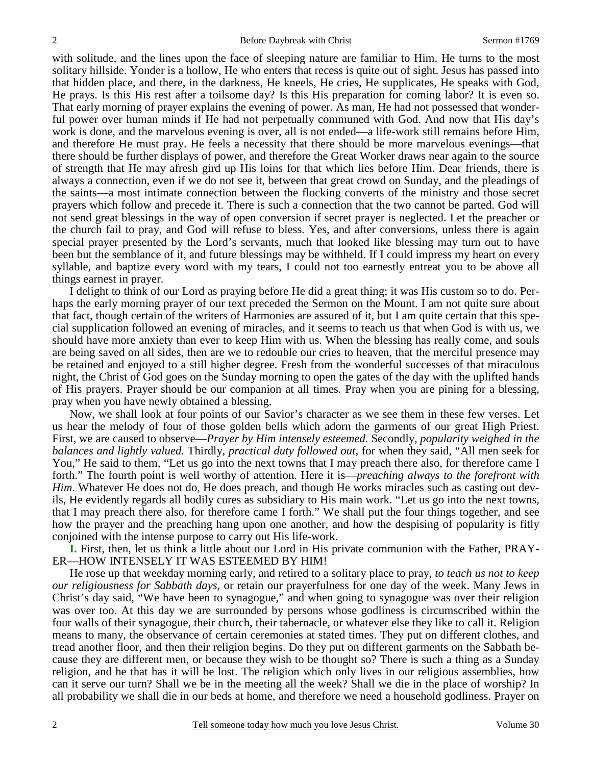with solitude, and the lines upon the face of sleeping nature are familiar to Him. He turns to the most solitary hillside. Yonder is a hollow, He who enters that recess is quite out of sight. Jesus has passed into that hidden place, and there, in the darkness, He kneels, He cries, He supplicates, He speaks with God, He prays. Is this His rest after a toilsome day? Is this His preparation for coming labor? It is even so. That early morning of prayer explains the evening of power. As man, He had not possessed that wonderful power over human minds if He had not perpetually communed with God. And now that His day's work is done, and the marvelous evening is over, all is not ended—a life-work still remains before Him, and therefore He must pray. He feels a necessity that there should be more marvelous evenings—that there should be further displays of power, and therefore the Great Worker draws near again to the source of strength that He may afresh gird up His loins for that which lies before Him. Dear friends, there is always a connection, even if we do not see it, between that great crowd on Sunday, and the pleadings of the saints—a most intimate connection between the flocking converts of the ministry and those secret prayers which follow and precede it. There is such a connection that the two cannot be parted. God will not send great blessings in the way of open conversion if secret prayer is neglected. Let the preacher or the church fail to pray, and God will refuse to bless. Yes, and after conversions, unless there is again special prayer presented by the Lord's servants, much that looked like blessing may turn out to have been but the semblance of it, and future blessings may be withheld. If I could impress my heart on every syllable, and baptize every word with my tears, I could not too earnestly entreat you to be above all things earnest in prayer.

 I delight to think of our Lord as praying before He did a great thing; it was His custom so to do. Perhaps the early morning prayer of our text preceded the Sermon on the Mount. I am not quite sure about that fact, though certain of the writers of Harmonies are assured of it, but I am quite certain that this special supplication followed an evening of miracles, and it seems to teach us that when God is with us, we should have more anxiety than ever to keep Him with us. When the blessing has really come, and souls are being saved on all sides, then are we to redouble our cries to heaven, that the merciful presence may be retained and enjoyed to a still higher degree. Fresh from the wonderful successes of that miraculous night, the Christ of God goes on the Sunday morning to open the gates of the day with the uplifted hands of His prayers. Prayer should be our companion at all times. Pray when you are pining for a blessing, pray when you have newly obtained a blessing.

 Now, we shall look at four points of our Savior's character as we see them in these few verses. Let us hear the melody of four of those golden bells which adorn the garments of our great High Priest. First, we are caused to observe—*Prayer by Him intensely esteemed.* Secondly, *popularity weighed in the balances and lightly valued.* Thirdly, *practical duty followed out,* for when they said, "All men seek for You," He said to them, "Let us go into the next towns that I may preach there also, for therefore came I forth." The fourth point is well worthy of attention. Here it is—*preaching always to the forefront with Him*. Whatever He does not do, He does preach, and though He works miracles such as casting out devils, He evidently regards all bodily cures as subsidiary to His main work. "Let us go into the next towns, that I may preach there also, for therefore came I forth." We shall put the four things together, and see how the prayer and the preaching hang upon one another, and how the despising of popularity is fitly conjoined with the intense purpose to carry out His life-work.

**I.** First, then, let us think a little about our Lord in His private communion with the Father, PRAY-ER—HOW INTENSELY IT WAS ESTEEMED BY HIM!

 He rose up that weekday morning early, and retired to a solitary place to pray, *to teach us not to keep our religiousness for Sabbath days,* or retain our prayerfulness for one day of the week. Many Jews in Christ's day said, "We have been to synagogue," and when going to synagogue was over their religion was over too. At this day we are surrounded by persons whose godliness is circumscribed within the four walls of their synagogue, their church, their tabernacle, or whatever else they like to call it. Religion means to many, the observance of certain ceremonies at stated times. They put on different clothes, and tread another floor, and then their religion begins. Do they put on different garments on the Sabbath because they are different men, or because they wish to be thought so? There is such a thing as a Sunday religion, and he that has it will be lost. The religion which only lives in our religious assemblies, how can it serve our turn? Shall we be in the meeting all the week? Shall we die in the place of worship? In all probability we shall die in our beds at home, and therefore we need a household godliness. Prayer on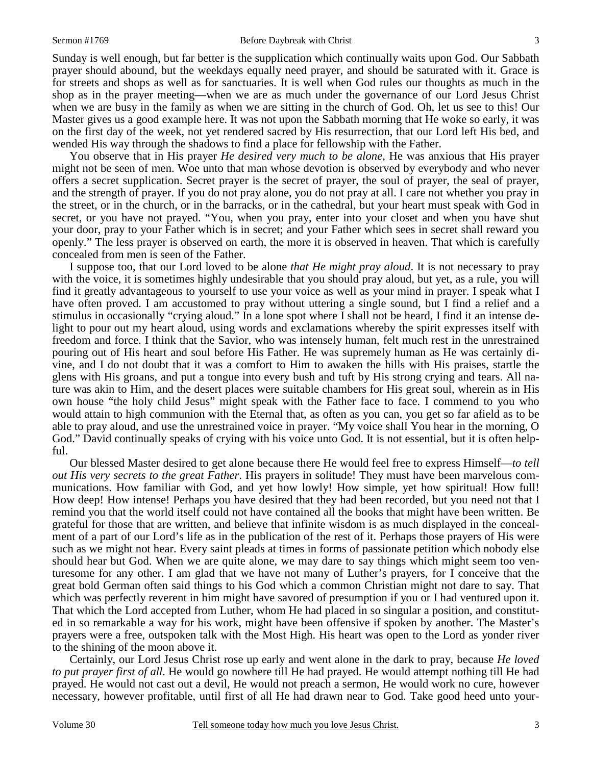Sunday is well enough, but far better is the supplication which continually waits upon God. Our Sabbath prayer should abound, but the weekdays equally need prayer, and should be saturated with it. Grace is for streets and shops as well as for sanctuaries. It is well when God rules our thoughts as much in the shop as in the prayer meeting—when we are as much under the governance of our Lord Jesus Christ when we are busy in the family as when we are sitting in the church of God. Oh, let us see to this! Our Master gives us a good example here. It was not upon the Sabbath morning that He woke so early, it was on the first day of the week, not yet rendered sacred by His resurrection, that our Lord left His bed, and wended His way through the shadows to find a place for fellowship with the Father.

 You observe that in His prayer *He desired very much to be alone,* He was anxious that His prayer might not be seen of men. Woe unto that man whose devotion is observed by everybody and who never offers a secret supplication. Secret prayer is the secret of prayer, the soul of prayer, the seal of prayer, and the strength of prayer. If you do not pray alone, you do not pray at all. I care not whether you pray in the street, or in the church, or in the barracks, or in the cathedral, but your heart must speak with God in secret, or you have not prayed. "You, when you pray, enter into your closet and when you have shut your door, pray to your Father which is in secret; and your Father which sees in secret shall reward you openly." The less prayer is observed on earth, the more it is observed in heaven. That which is carefully concealed from men is seen of the Father.

 I suppose too, that our Lord loved to be alone *that He might pray aloud*. It is not necessary to pray with the voice, it is sometimes highly undesirable that you should pray aloud, but yet, as a rule, you will find it greatly advantageous to yourself to use your voice as well as your mind in prayer. I speak what I have often proved. I am accustomed to pray without uttering a single sound, but I find a relief and a stimulus in occasionally "crying aloud." In a lone spot where I shall not be heard, I find it an intense delight to pour out my heart aloud, using words and exclamations whereby the spirit expresses itself with freedom and force. I think that the Savior, who was intensely human, felt much rest in the unrestrained pouring out of His heart and soul before His Father. He was supremely human as He was certainly divine, and I do not doubt that it was a comfort to Him to awaken the hills with His praises, startle the glens with His groans, and put a tongue into every bush and tuft by His strong crying and tears. All nature was akin to Him, and the desert places were suitable chambers for His great soul, wherein as in His own house "the holy child Jesus" might speak with the Father face to face. I commend to you who would attain to high communion with the Eternal that, as often as you can, you get so far afield as to be able to pray aloud, and use the unrestrained voice in prayer. "My voice shall You hear in the morning, O God." David continually speaks of crying with his voice unto God. It is not essential, but it is often helpful.

 Our blessed Master desired to get alone because there He would feel free to express Himself—*to tell out His very secrets to the great Father*. His prayers in solitude! They must have been marvelous communications. How familiar with God, and yet how lowly! How simple, yet how spiritual! How full! How deep! How intense! Perhaps you have desired that they had been recorded, but you need not that I remind you that the world itself could not have contained all the books that might have been written. Be grateful for those that are written, and believe that infinite wisdom is as much displayed in the concealment of a part of our Lord's life as in the publication of the rest of it. Perhaps those prayers of His were such as we might not hear. Every saint pleads at times in forms of passionate petition which nobody else should hear but God. When we are quite alone, we may dare to say things which might seem too venturesome for any other. I am glad that we have not many of Luther's prayers, for I conceive that the great bold German often said things to his God which a common Christian might not dare to say. That which was perfectly reverent in him might have savored of presumption if you or I had ventured upon it. That which the Lord accepted from Luther, whom He had placed in so singular a position, and constituted in so remarkable a way for his work, might have been offensive if spoken by another. The Master's prayers were a free, outspoken talk with the Most High. His heart was open to the Lord as yonder river to the shining of the moon above it.

 Certainly, our Lord Jesus Christ rose up early and went alone in the dark to pray, because *He loved to put prayer first of all*. He would go nowhere till He had prayed. He would attempt nothing till He had prayed. He would not cast out a devil, He would not preach a sermon, He would work no cure, however necessary, however profitable, until first of all He had drawn near to God. Take good heed unto your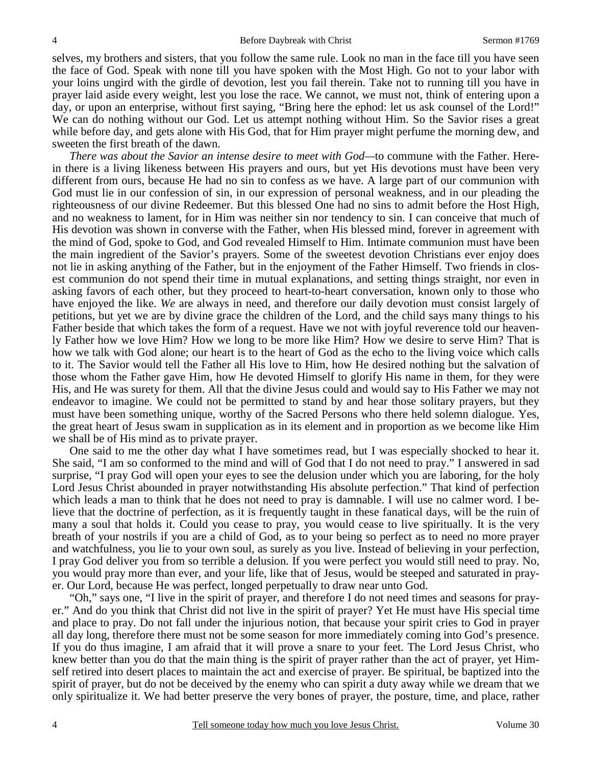selves, my brothers and sisters, that you follow the same rule. Look no man in the face till you have seen the face of God. Speak with none till you have spoken with the Most High. Go not to your labor with your loins ungird with the girdle of devotion, lest you fail therein. Take not to running till you have in prayer laid aside every weight, lest you lose the race. We cannot, we must not, think of entering upon a day, or upon an enterprise, without first saying, "Bring here the ephod: let us ask counsel of the Lord!" We can do nothing without our God. Let us attempt nothing without Him. So the Savior rises a great while before day, and gets alone with His God, that for Him prayer might perfume the morning dew, and sweeten the first breath of the dawn.

*There was about the Savior an intense desire to meet with God—*to commune with the Father. Herein there is a living likeness between His prayers and ours, but yet His devotions must have been very different from ours, because He had no sin to confess as we have. A large part of our communion with God must lie in our confession of sin, in our expression of personal weakness, and in our pleading the righteousness of our divine Redeemer. But this blessed One had no sins to admit before the Host High, and no weakness to lament, for in Him was neither sin nor tendency to sin. I can conceive that much of His devotion was shown in converse with the Father, when His blessed mind, forever in agreement with the mind of God, spoke to God, and God revealed Himself to Him. Intimate communion must have been the main ingredient of the Savior's prayers. Some of the sweetest devotion Christians ever enjoy does not lie in asking anything of the Father, but in the enjoyment of the Father Himself. Two friends in closest communion do not spend their time in mutual explanations, and setting things straight, nor even in asking favors of each other, but they proceed to heart-to-heart conversation, known only to those who have enjoyed the like. *We* are always in need, and therefore our daily devotion must consist largely of petitions, but yet we are by divine grace the children of the Lord, and the child says many things to his Father beside that which takes the form of a request. Have we not with joyful reverence told our heavenly Father how we love Him? How we long to be more like Him? How we desire to serve Him? That is how we talk with God alone; our heart is to the heart of God as the echo to the living voice which calls to it. The Savior would tell the Father all His love to Him, how He desired nothing but the salvation of those whom the Father gave Him, how He devoted Himself to glorify His name in them, for they were His, and He was surety for them. All that the divine Jesus could and would say to His Father we may not endeavor to imagine. We could not be permitted to stand by and hear those solitary prayers, but they must have been something unique, worthy of the Sacred Persons who there held solemn dialogue. Yes, the great heart of Jesus swam in supplication as in its element and in proportion as we become like Him we shall be of His mind as to private prayer.

 One said to me the other day what I have sometimes read, but I was especially shocked to hear it. She said, "I am so conformed to the mind and will of God that I do not need to pray." I answered in sad surprise, "I pray God will open your eyes to see the delusion under which you are laboring, for the holy Lord Jesus Christ abounded in prayer notwithstanding His absolute perfection." That kind of perfection which leads a man to think that he does not need to pray is damnable. I will use no calmer word. I believe that the doctrine of perfection, as it is frequently taught in these fanatical days, will be the ruin of many a soul that holds it. Could you cease to pray, you would cease to live spiritually. It is the very breath of your nostrils if you are a child of God, as to your being so perfect as to need no more prayer and watchfulness, you lie to your own soul, as surely as you live. Instead of believing in your perfection, I pray God deliver you from so terrible a delusion. If you were perfect you would still need to pray. No, you would pray more than ever, and your life, like that of Jesus, would be steeped and saturated in prayer. Our Lord, because He was perfect, longed perpetually to draw near unto God.

 "Oh," says one, "I live in the spirit of prayer, and therefore I do not need times and seasons for prayer." And do you think that Christ did not live in the spirit of prayer? Yet He must have His special time and place to pray. Do not fall under the injurious notion, that because your spirit cries to God in prayer all day long, therefore there must not be some season for more immediately coming into God's presence. If you do thus imagine, I am afraid that it will prove a snare to your feet. The Lord Jesus Christ, who knew better than you do that the main thing is the spirit of prayer rather than the act of prayer, yet Himself retired into desert places to maintain the act and exercise of prayer. Be spiritual, be baptized into the spirit of prayer, but do not be deceived by the enemy who can spirit a duty away while we dream that we only spiritualize it. We had better preserve the very bones of prayer, the posture, time, and place, rather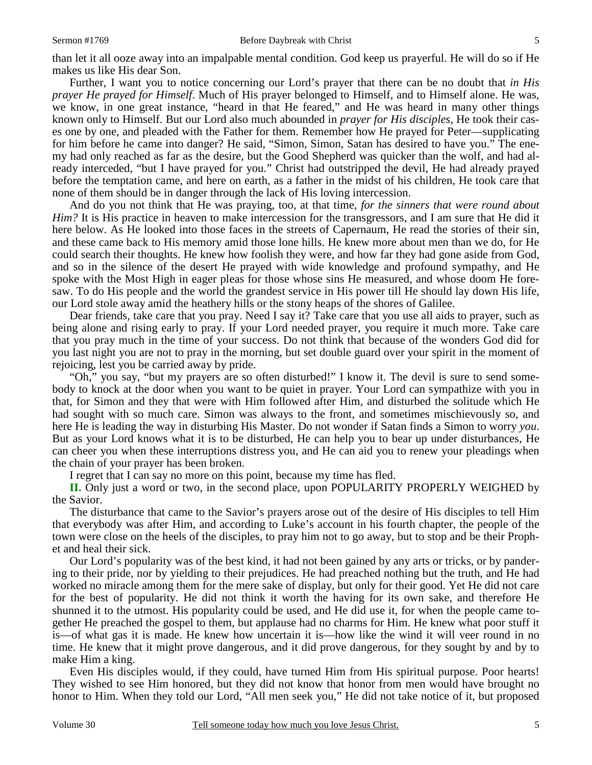than let it all ooze away into an impalpable mental condition. God keep us prayerful. He will do so if He makes us like His dear Son.

 Further, I want you to notice concerning our Lord's prayer that there can be no doubt that *in His prayer He prayed for Himself*. Much of His prayer belonged to Himself, and to Himself alone. He was, we know, in one great instance, "heard in that He feared," and He was heard in many other things known only to Himself. But our Lord also much abounded in *prayer for His disciples,* He took their cases one by one, and pleaded with the Father for them. Remember how He prayed for Peter—supplicating for him before he came into danger? He said, "Simon, Simon, Satan has desired to have you." The enemy had only reached as far as the desire, but the Good Shepherd was quicker than the wolf, and had already interceded, "but I have prayed for you." Christ had outstripped the devil, He had already prayed before the temptation came, and here on earth, as a father in the midst of his children, He took care that none of them should be in danger through the lack of His loving intercession.

 And do you not think that He was praying, too, at that time, *for the sinners that were round about Him?* It is His practice in heaven to make intercession for the transgressors, and I am sure that He did it here below. As He looked into those faces in the streets of Capernaum, He read the stories of their sin, and these came back to His memory amid those lone hills. He knew more about men than we do, for He could search their thoughts. He knew how foolish they were, and how far they had gone aside from God, and so in the silence of the desert He prayed with wide knowledge and profound sympathy, and He spoke with the Most High in eager pleas for those whose sins He measured, and whose doom He foresaw. To do His people and the world the grandest service in His power till He should lay down His life, our Lord stole away amid the heathery hills or the stony heaps of the shores of Galilee.

 Dear friends, take care that you pray. Need I say it? Take care that you use all aids to prayer, such as being alone and rising early to pray. If your Lord needed prayer, you require it much more. Take care that you pray much in the time of your success. Do not think that because of the wonders God did for you last night you are not to pray in the morning, but set double guard over your spirit in the moment of rejoicing, lest you be carried away by pride.

 "Oh," you say, "but my prayers are so often disturbed!" I know it. The devil is sure to send somebody to knock at the door when you want to be quiet in prayer. Your Lord can sympathize with you in that, for Simon and they that were with Him followed after Him, and disturbed the solitude which He had sought with so much care. Simon was always to the front, and sometimes mischievously so, and here He is leading the way in disturbing His Master. Do not wonder if Satan finds a Simon to worry *you*. But as your Lord knows what it is to be disturbed, He can help you to bear up under disturbances, He can cheer you when these interruptions distress you, and He can aid you to renew your pleadings when the chain of your prayer has been broken.

I regret that I can say no more on this point, because my time has fled.

**II.** Only just a word or two, in the second place, upon POPULARITY PROPERLY WEIGHED by the Savior.

 The disturbance that came to the Savior's prayers arose out of the desire of His disciples to tell Him that everybody was after Him, and according to Luke's account in his fourth chapter, the people of the town were close on the heels of the disciples, to pray him not to go away, but to stop and be their Prophet and heal their sick.

 Our Lord's popularity was of the best kind, it had not been gained by any arts or tricks, or by pandering to their pride, nor by yielding to their prejudices. He had preached nothing but the truth, and He had worked no miracle among them for the mere sake of display, but only for their good. Yet He did not care for the best of popularity. He did not think it worth the having for its own sake, and therefore He shunned it to the utmost. His popularity could be used, and He did use it, for when the people came together He preached the gospel to them, but applause had no charms for Him. He knew what poor stuff it is—of what gas it is made. He knew how uncertain it is—how like the wind it will veer round in no time. He knew that it might prove dangerous, and it did prove dangerous, for they sought by and by to make Him a king.

 Even His disciples would, if they could, have turned Him from His spiritual purpose. Poor hearts! They wished to see Him honored, but they did not know that honor from men would have brought no honor to Him. When they told our Lord, "All men seek you," He did not take notice of it, but proposed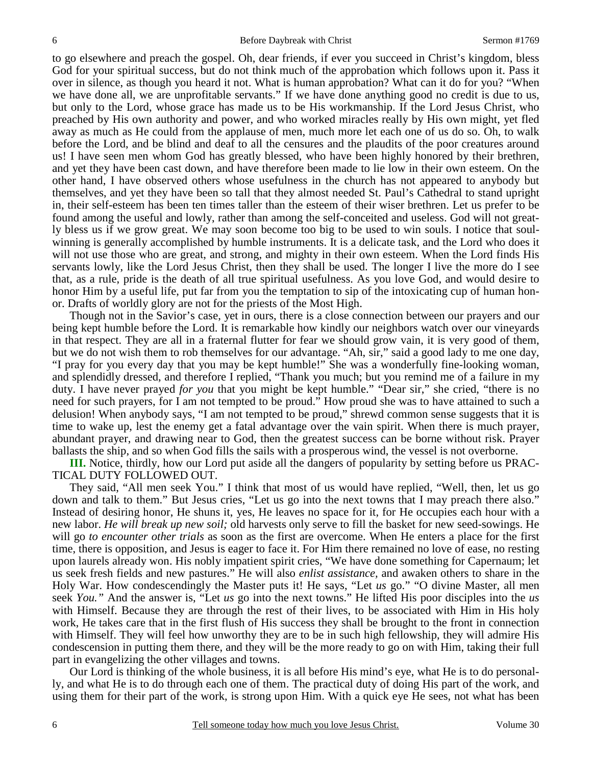to go elsewhere and preach the gospel. Oh, dear friends, if ever you succeed in Christ's kingdom, bless God for your spiritual success, but do not think much of the approbation which follows upon it. Pass it over in silence, as though you heard it not. What is human approbation? What can it do for you? "When we have done all, we are unprofitable servants." If we have done anything good no credit is due to us, but only to the Lord, whose grace has made us to be His workmanship. If the Lord Jesus Christ, who preached by His own authority and power, and who worked miracles really by His own might, yet fled away as much as He could from the applause of men, much more let each one of us do so. Oh, to walk before the Lord, and be blind and deaf to all the censures and the plaudits of the poor creatures around us! I have seen men whom God has greatly blessed, who have been highly honored by their brethren, and yet they have been cast down, and have therefore been made to lie low in their own esteem. On the other hand, I have observed others whose usefulness in the church has not appeared to anybody but themselves, and yet they have been so tall that they almost needed St. Paul's Cathedral to stand upright in, their self-esteem has been ten times taller than the esteem of their wiser brethren. Let us prefer to be found among the useful and lowly, rather than among the self-conceited and useless. God will not greatly bless us if we grow great. We may soon become too big to be used to win souls. I notice that soulwinning is generally accomplished by humble instruments. It is a delicate task, and the Lord who does it will not use those who are great, and strong, and mighty in their own esteem. When the Lord finds His servants lowly, like the Lord Jesus Christ, then they shall be used. The longer I live the more do I see that, as a rule, pride is the death of all true spiritual usefulness. As you love God, and would desire to honor Him by a useful life, put far from you the temptation to sip of the intoxicating cup of human honor. Drafts of worldly glory are not for the priests of the Most High.

 Though not in the Savior's case, yet in ours, there is a close connection between our prayers and our being kept humble before the Lord. It is remarkable how kindly our neighbors watch over our vineyards in that respect. They are all in a fraternal flutter for fear we should grow vain, it is very good of them, but we do not wish them to rob themselves for our advantage. "Ah, sir," said a good lady to me one day, "I pray for you every day that you may be kept humble!" She was a wonderfully fine-looking woman, and splendidly dressed, and therefore I replied, "Thank you much; but you remind me of a failure in my duty. I have never prayed *for you* that you might be kept humble." "Dear sir," she cried, "there is no need for such prayers, for I am not tempted to be proud." How proud she was to have attained to such a delusion! When anybody says, "I am not tempted to be proud," shrewd common sense suggests that it is time to wake up, lest the enemy get a fatal advantage over the vain spirit. When there is much prayer, abundant prayer, and drawing near to God, then the greatest success can be borne without risk. Prayer ballasts the ship, and so when God fills the sails with a prosperous wind, the vessel is not overborne.

**III.** Notice, thirdly, how our Lord put aside all the dangers of popularity by setting before us PRAC-TICAL DUTY FOLLOWED OUT.

 They said, "All men seek You." I think that most of us would have replied, "Well, then, let us go down and talk to them." But Jesus cries, "Let us go into the next towns that I may preach there also." Instead of desiring honor, He shuns it, yes, He leaves no space for it, for He occupies each hour with a new labor. *He will break up new soil;* old harvests only serve to fill the basket for new seed-sowings. He will go *to encounter other trials* as soon as the first are overcome. When He enters a place for the first time, there is opposition, and Jesus is eager to face it. For Him there remained no love of ease, no resting upon laurels already won. His nobly impatient spirit cries, "We have done something for Capernaum; let us seek fresh fields and new pastures." He will also *enlist assistance,* and awaken others to share in the Holy War. How condescendingly the Master puts it! He says, "Let *us* go." "O divine Master, all men seek *You."* And the answer is, "Let *us* go into the next towns." He lifted His poor disciples into the *us*  with Himself. Because they are through the rest of their lives, to be associated with Him in His holy work, He takes care that in the first flush of His success they shall be brought to the front in connection with Himself. They will feel how unworthy they are to be in such high fellowship, they will admire His condescension in putting them there, and they will be the more ready to go on with Him, taking their full part in evangelizing the other villages and towns.

 Our Lord is thinking of the whole business, it is all before His mind's eye, what He is to do personally, and what He is to do through each one of them. The practical duty of doing His part of the work, and using them for their part of the work, is strong upon Him. With a quick eye He sees, not what has been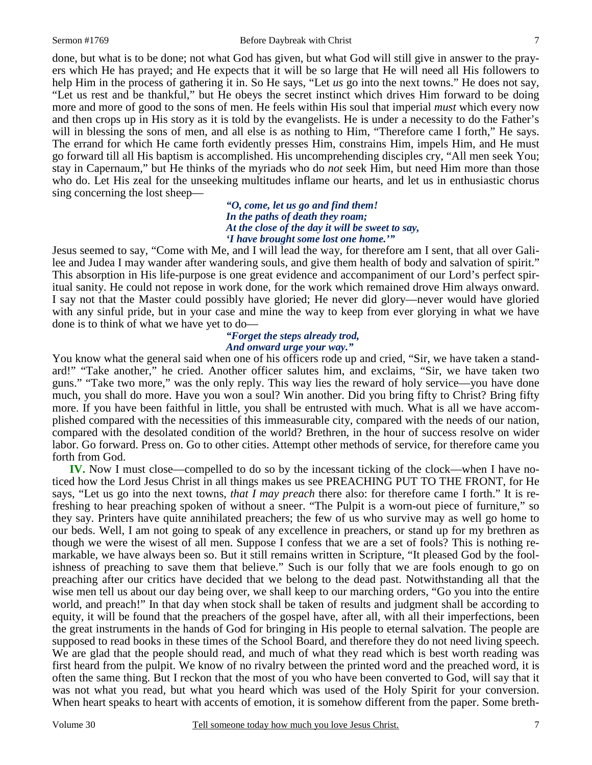done, but what is to be done; not what God has given, but what God will still give in answer to the prayers which He has prayed; and He expects that it will be so large that He will need all His followers to help Him in the process of gathering it in. So He says, "Let *us* go into the next towns." He does not say, "Let us rest and be thankful," but He obeys the secret instinct which drives Him forward to be doing more and more of good to the sons of men. He feels within His soul that imperial *must* which every now and then crops up in His story as it is told by the evangelists. He is under a necessity to do the Father's will in blessing the sons of men, and all else is as nothing to Him, "Therefore came I forth," He says. The errand for which He came forth evidently presses Him, constrains Him, impels Him, and He must go forward till all His baptism is accomplished. His uncomprehending disciples cry, "All men seek You; stay in Capernaum," but He thinks of the myriads who do *not* seek Him, but need Him more than those who do. Let His zeal for the unseeking multitudes inflame our hearts, and let us in enthusiastic chorus sing concerning the lost sheep—

> *"O, come, let us go and find them! In the paths of death they roam; At the close of the day it will be sweet to say, 'I have brought some lost one home.'"*

Jesus seemed to say, "Come with Me, and I will lead the way, for therefore am I sent, that all over Galilee and Judea I may wander after wandering souls, and give them health of body and salvation of spirit." This absorption in His life-purpose is one great evidence and accompaniment of our Lord's perfect spiritual sanity. He could not repose in work done, for the work which remained drove Him always onward. I say not that the Master could possibly have gloried; He never did glory—never would have gloried with any sinful pride, but in your case and mine the way to keep from ever glorying in what we have done is to think of what we have yet to do—

#### *"Forget the steps already trod, And onward urge your way."*

You know what the general said when one of his officers rode up and cried, "Sir, we have taken a standard!" "Take another," he cried. Another officer salutes him, and exclaims, "Sir, we have taken two guns." "Take two more," was the only reply. This way lies the reward of holy service—you have done much, you shall do more. Have you won a soul? Win another. Did you bring fifty to Christ? Bring fifty more. If you have been faithful in little, you shall be entrusted with much. What is all we have accomplished compared with the necessities of this immeasurable city, compared with the needs of our nation, compared with the desolated condition of the world? Brethren, in the hour of success resolve on wider labor. Go forward. Press on. Go to other cities. Attempt other methods of service, for therefore came you forth from God.

**IV.** Now I must close—compelled to do so by the incessant ticking of the clock—when I have noticed how the Lord Jesus Christ in all things makes us see PREACHING PUT TO THE FRONT, for He says, "Let us go into the next towns, *that I may preach* there also: for therefore came I forth." It is refreshing to hear preaching spoken of without a sneer. "The Pulpit is a worn-out piece of furniture," so they say. Printers have quite annihilated preachers; the few of us who survive may as well go home to our beds. Well, I am not going to speak of any excellence in preachers, or stand up for my brethren as though we were the wisest of all men. Suppose I confess that we are a set of fools? This is nothing remarkable, we have always been so. But it still remains written in Scripture, "It pleased God by the foolishness of preaching to save them that believe." Such is our folly that we are fools enough to go on preaching after our critics have decided that we belong to the dead past. Notwithstanding all that the wise men tell us about our day being over, we shall keep to our marching orders, "Go you into the entire world, and preach!" In that day when stock shall be taken of results and judgment shall be according to equity, it will be found that the preachers of the gospel have, after all, with all their imperfections, been the great instruments in the hands of God for bringing in His people to eternal salvation. The people are supposed to read books in these times of the School Board, and therefore they do not need living speech. We are glad that the people should read, and much of what they read which is best worth reading was first heard from the pulpit. We know of no rivalry between the printed word and the preached word, it is often the same thing. But I reckon that the most of you who have been converted to God, will say that it was not what you read, but what you heard which was used of the Holy Spirit for your conversion. When heart speaks to heart with accents of emotion, it is somehow different from the paper. Some breth